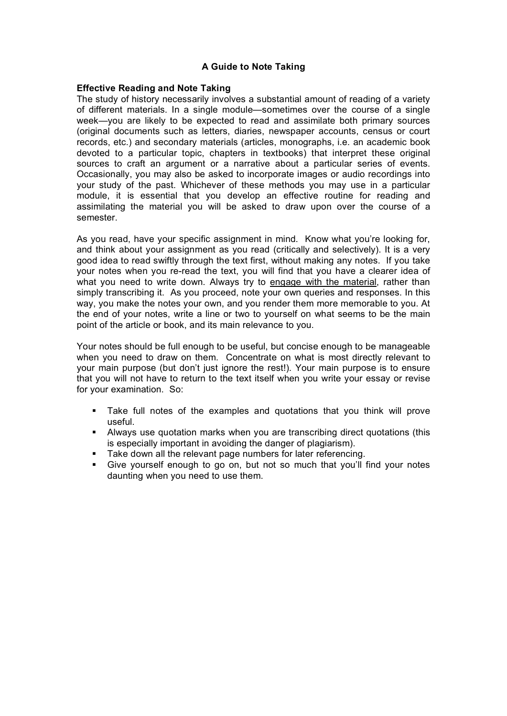## **A Guide to Note Taking**

## **Effective Reading and Note Taking**

The study of history necessarily involves a substantial amount of reading of a variety of different materials. In a single module—sometimes over the course of a single week—you are likely to be expected to read and assimilate both primary sources (original documents such as letters, diaries, newspaper accounts, census or court records, etc.) and secondary materials (articles, monographs, i.e. an academic book devoted to a particular topic, chapters in textbooks) that interpret these original sources to craft an argument or a narrative about a particular series of events. Occasionally, you may also be asked to incorporate images or audio recordings into your study of the past. Whichever of these methods you may use in a particular module, it is essential that you develop an effective routine for reading and assimilating the material you will be asked to draw upon over the course of a semester.

As you read, have your specific assignment in mind. Know what you're looking for, and think about your assignment as you read (critically and selectively). It is a very good idea to read swiftly through the text first, without making any notes. If you take your notes when you re-read the text, you will find that you have a clearer idea of what you need to write down. Always try to engage with the material, rather than simply transcribing it. As you proceed, note your own queries and responses. In this way, you make the notes your own, and you render them more memorable to you. At the end of your notes, write a line or two to yourself on what seems to be the main point of the article or book, and its main relevance to you.

Your notes should be full enough to be useful, but concise enough to be manageable when you need to draw on them. Concentrate on what is most directly relevant to your main purpose (but don't just ignore the rest!). Your main purpose is to ensure that you will not have to return to the text itself when you write your essay or revise for your examination. So:

- Take full notes of the examples and quotations that you think will prove useful.
- Always use quotation marks when you are transcribing direct quotations (this is especially important in avoiding the danger of plagiarism).
- Take down all the relevant page numbers for later referencing.
- Give yourself enough to go on, but not so much that you'll find your notes daunting when you need to use them.